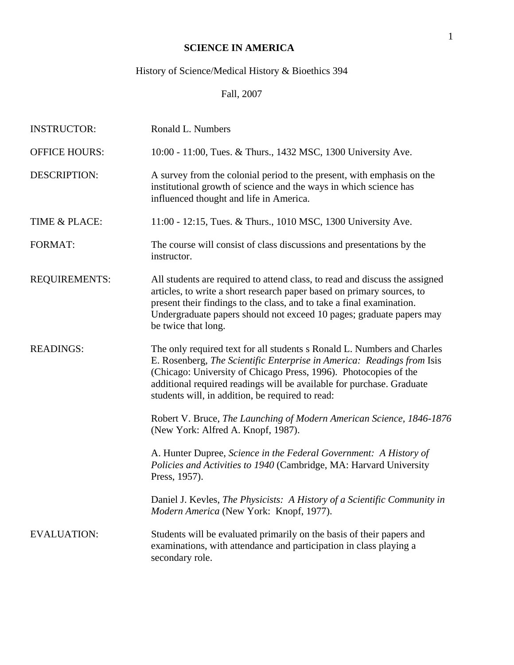# **SCIENCE IN AMERICA**

# History of Science/Medical History & Bioethics 394

Fall, 2007

| <b>INSTRUCTOR:</b>   | Ronald L. Numbers                                                                                                                                                                                                                                                                                                                                  |
|----------------------|----------------------------------------------------------------------------------------------------------------------------------------------------------------------------------------------------------------------------------------------------------------------------------------------------------------------------------------------------|
| <b>OFFICE HOURS:</b> | 10:00 - 11:00, Tues. & Thurs., 1432 MSC, 1300 University Ave.                                                                                                                                                                                                                                                                                      |
| <b>DESCRIPTION:</b>  | A survey from the colonial period to the present, with emphasis on the<br>institutional growth of science and the ways in which science has<br>influenced thought and life in America.                                                                                                                                                             |
| TIME & PLACE:        | 11:00 - 12:15, Tues. & Thurs., 1010 MSC, 1300 University Ave.                                                                                                                                                                                                                                                                                      |
| <b>FORMAT:</b>       | The course will consist of class discussions and presentations by the<br>instructor.                                                                                                                                                                                                                                                               |
| <b>REQUIREMENTS:</b> | All students are required to attend class, to read and discuss the assigned<br>articles, to write a short research paper based on primary sources, to<br>present their findings to the class, and to take a final examination.<br>Undergraduate papers should not exceed 10 pages; graduate papers may<br>be twice that long.                      |
| <b>READINGS:</b>     | The only required text for all students s Ronald L. Numbers and Charles<br>E. Rosenberg, The Scientific Enterprise in America: Readings from Isis<br>(Chicago: University of Chicago Press, 1996). Photocopies of the<br>additional required readings will be available for purchase. Graduate<br>students will, in addition, be required to read: |
|                      | Robert V. Bruce, The Launching of Modern American Science, 1846-1876<br>(New York: Alfred A. Knopf, 1987).                                                                                                                                                                                                                                         |
|                      | A. Hunter Dupree, Science in the Federal Government: A History of<br>Policies and Activities to 1940 (Cambridge, MA: Harvard University<br>Press, 1957).                                                                                                                                                                                           |
|                      | Daniel J. Kevles, The Physicists: A History of a Scientific Community in<br>Modern America (New York: Knopf, 1977).                                                                                                                                                                                                                                |
| <b>EVALUATION:</b>   | Students will be evaluated primarily on the basis of their papers and<br>examinations, with attendance and participation in class playing a<br>secondary role.                                                                                                                                                                                     |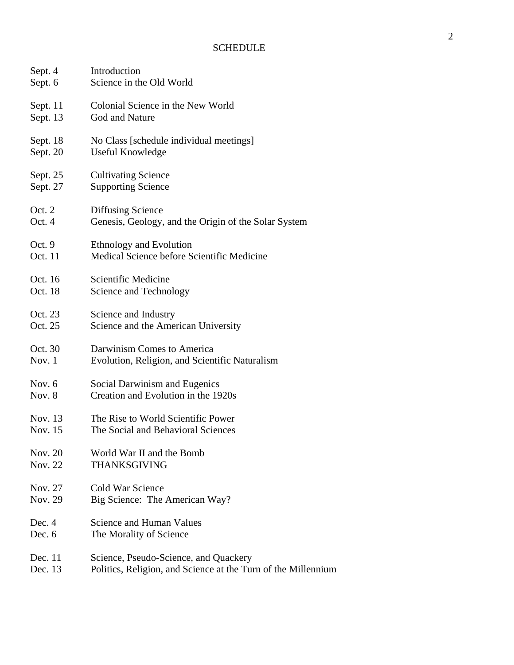| Sept. 4  | Introduction                                                  |
|----------|---------------------------------------------------------------|
| Sept. 6  | Science in the Old World                                      |
| Sept. 11 | Colonial Science in the New World                             |
| Sept. 13 | God and Nature                                                |
| Sept. 18 | No Class [schedule individual meetings]                       |
| Sept. 20 | Useful Knowledge                                              |
| Sept. 25 | <b>Cultivating Science</b>                                    |
| Sept. 27 | <b>Supporting Science</b>                                     |
| Oct. 2   | Diffusing Science                                             |
| Oct. 4   | Genesis, Geology, and the Origin of the Solar System          |
| Oct. 9   | <b>Ethnology and Evolution</b>                                |
| Oct. 11  | Medical Science before Scientific Medicine                    |
| Oct. 16  | Scientific Medicine                                           |
| Oct. 18  | Science and Technology                                        |
| Oct. 23  | Science and Industry                                          |
| Oct. 25  | Science and the American University                           |
| Oct. 30  | Darwinism Comes to America                                    |
| Nov. 1   | Evolution, Religion, and Scientific Naturalism                |
| Nov. $6$ | Social Darwinism and Eugenics                                 |
| Nov. 8   | Creation and Evolution in the 1920s                           |
| Nov. 13  | The Rise to World Scientific Power                            |
| Nov. 15  | The Social and Behavioral Sciences                            |
| Nov. 20  | World War II and the Bomb                                     |
| Nov. 22  | THANKSGIVING                                                  |
| Nov. 27  | Cold War Science                                              |
| Nov. 29  | Big Science: The American Way?                                |
| Dec. 4   | Science and Human Values                                      |
| Dec. 6   | The Morality of Science                                       |
| Dec. 11  | Science, Pseudo-Science, and Quackery                         |
| Dec. 13  | Politics, Religion, and Science at the Turn of the Millennium |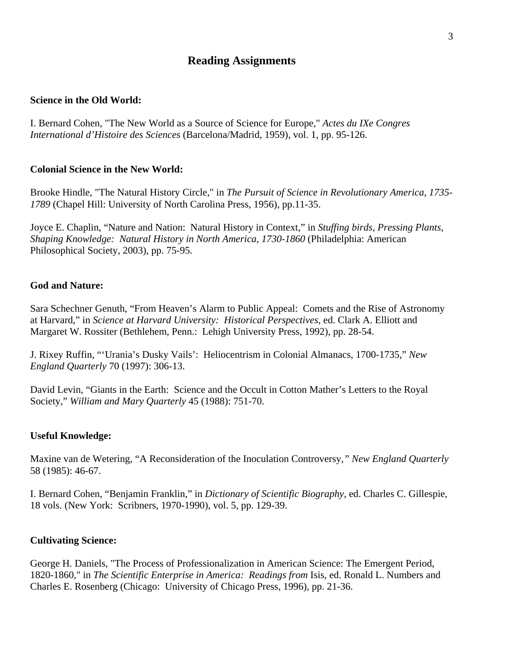# **Reading Assignments**

# **Science in the Old World:**

I. Bernard Cohen, "The New World as a Source of Science for Europe," *Actes du IXe Congres International d'Histoire des Sciences* (Barcelona/Madrid, 1959), vol. 1, pp. 95-126.

#### **Colonial Science in the New World:**

Brooke Hindle, "The Natural History Circle," in *The Pursuit of Science in Revolutionary America, 1735- 1789* (Chapel Hill: University of North Carolina Press, 1956), pp.11-35.

Joyce E. Chaplin, "Nature and Nation: Natural History in Context," in *Stuffing birds, Pressing Plants, Shaping Knowledge: Natural History in North America, 1730-1860* (Philadelphia: American Philosophical Society, 2003), pp. 75-95.

#### **God and Nature:**

Sara Schechner Genuth, "From Heaven's Alarm to Public Appeal: Comets and the Rise of Astronomy at Harvard," in *Science at Harvard University: Historical Perspectives*, ed. Clark A. Elliott and Margaret W. Rossiter (Bethlehem, Penn.: Lehigh University Press, 1992), pp. 28-54.

J. Rixey Ruffin, "'Urania's Dusky Vails': Heliocentrism in Colonial Almanacs, 1700-1735," *New England Quarterly* 70 (1997): 306-13.

David Levin, "Giants in the Earth: Science and the Occult in Cotton Mather's Letters to the Royal Society," *William and Mary Quarterly* 45 (1988): 751-70.

#### **Useful Knowledge:**

Maxine van de Wetering, "A Reconsideration of the Inoculation Controversy*," New England Quarterly* 58 (1985): 46-67.

I. Bernard Cohen, "Benjamin Franklin," in *Dictionary of Scientific Biography*, ed. Charles C. Gillespie, 18 vols. (New York: Scribners, 1970-1990), vol. 5, pp. 129-39.

#### **Cultivating Science:**

George H. Daniels, "The Process of Professionalization in American Science: The Emergent Period, 1820-1860," in *The Scientific Enterprise in America: Readings from* Isis, ed. Ronald L. Numbers and Charles E. Rosenberg (Chicago: University of Chicago Press, 1996), pp. 21-36.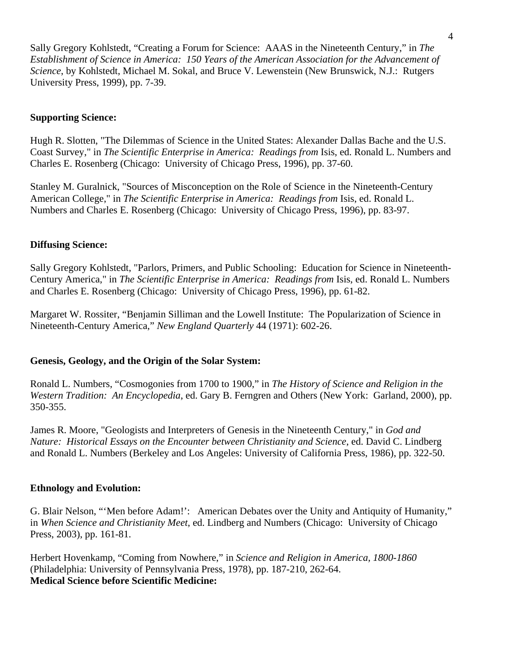Sally Gregory Kohlstedt, "Creating a Forum for Science: AAAS in the Nineteenth Century," in *The Establishment of Science in America: 150 Years of the American Association for the Advancement of Science*, by Kohlstedt, Michael M. Sokal, and Bruce V. Lewenstein (New Brunswick, N.J.: Rutgers University Press, 1999), pp. 7-39.

# **Supporting Science:**

Hugh R. Slotten, "The Dilemmas of Science in the United States: Alexander Dallas Bache and the U.S. Coast Survey," in *The Scientific Enterprise in America: Readings from* Isis, ed. Ronald L. Numbers and Charles E. Rosenberg (Chicago: University of Chicago Press, 1996), pp. 37-60.

Stanley M. Guralnick, "Sources of Misconception on the Role of Science in the Nineteenth-Century American College," in *The Scientific Enterprise in America: Readings from* Isis, ed. Ronald L. Numbers and Charles E. Rosenberg (Chicago: University of Chicago Press, 1996), pp. 83-97.

# **Diffusing Science:**

Sally Gregory Kohlstedt, "Parlors, Primers, and Public Schooling: Education for Science in Nineteenth-Century America," in *The Scientific Enterprise in America: Readings from* Isis, ed. Ronald L. Numbers and Charles E. Rosenberg (Chicago: University of Chicago Press, 1996), pp. 61-82.

Margaret W. Rossiter, "Benjamin Silliman and the Lowell Institute: The Popularization of Science in Nineteenth-Century America," *New England Quarterly* 44 (1971): 602-26.

# **Genesis, Geology, and the Origin of the Solar System:**

Ronald L. Numbers, "Cosmogonies from 1700 to 1900," in *The History of Science and Religion in the Western Tradition: An Encyclopedia*, ed. Gary B. Ferngren and Others (New York: Garland, 2000), pp. 350-355.

James R. Moore, "Geologists and Interpreters of Genesis in the Nineteenth Century," in *God and Nature: Historical Essays on the Encounter between Christianity and Science*, ed. David C. Lindberg and Ronald L. Numbers (Berkeley and Los Angeles: University of California Press, 1986), pp. 322-50.

# **Ethnology and Evolution:**

G. Blair Nelson, "'Men before Adam!': American Debates over the Unity and Antiquity of Humanity," in *When Science and Christianity Meet*, ed. Lindberg and Numbers (Chicago: University of Chicago Press, 2003), pp. 161-81.

Herbert Hovenkamp, "Coming from Nowhere," in *Science and Religion in America, 1800-1860* (Philadelphia: University of Pennsylvania Press, 1978), pp. 187-210, 262-64. **Medical Science before Scientific Medicine:**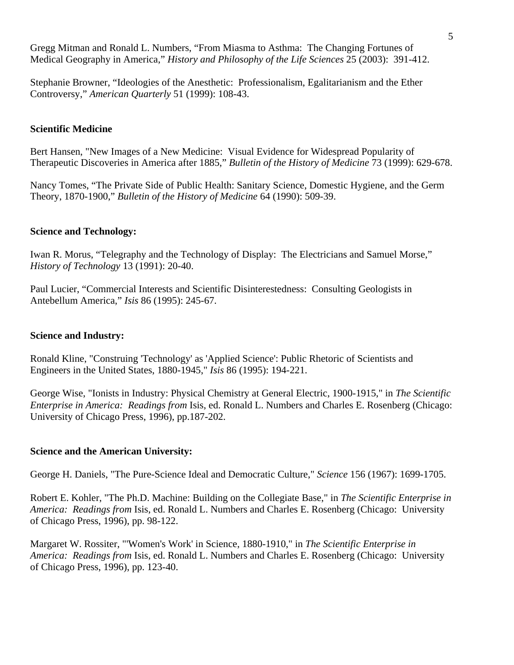Gregg Mitman and Ronald L. Numbers, "From Miasma to Asthma: The Changing Fortunes of Medical Geography in America," *History and Philosophy of the Life Sciences* 25 (2003): 391-412.

Stephanie Browner, "Ideologies of the Anesthetic: Professionalism, Egalitarianism and the Ether Controversy," *American Quarterly* 51 (1999): 108-43.

# **Scientific Medicine**

Bert Hansen, "New Images of a New Medicine: Visual Evidence for Widespread Popularity of Therapeutic Discoveries in America after 1885," *Bulletin of the History of Medicine* 73 (1999): 629-678.

Nancy Tomes, "The Private Side of Public Health: Sanitary Science, Domestic Hygiene, and the Germ Theory, 1870-1900," *Bulletin of the History of Medicine* 64 (1990): 509-39.

#### **Science and Technology:**

Iwan R. Morus, "Telegraphy and the Technology of Display: The Electricians and Samuel Morse," *History of Technology* 13 (1991): 20-40.

Paul Lucier, "Commercial Interests and Scientific Disinterestedness: Consulting Geologists in Antebellum America," *Isis* 86 (1995): 245-67.

#### **Science and Industry:**

Ronald Kline, "Construing 'Technology' as 'Applied Science': Public Rhetoric of Scientists and Engineers in the United States, 1880-1945," *Isis* 86 (1995): 194-221.

George Wise, "Ionists in Industry: Physical Chemistry at General Electric, 1900-1915," in *The Scientific Enterprise in America: Readings from* Isis, ed. Ronald L. Numbers and Charles E. Rosenberg (Chicago: University of Chicago Press, 1996), pp.187-202.

# **Science and the American University:**

George H. Daniels, "The Pure-Science Ideal and Democratic Culture," *Science* 156 (1967): 1699-1705.

Robert E. Kohler, "The Ph.D. Machine: Building on the Collegiate Base," in *The Scientific Enterprise in America: Readings from* Isis, ed. Ronald L. Numbers and Charles E. Rosenberg (Chicago: University of Chicago Press, 1996), pp. 98-122.

Margaret W. Rossiter, "'Women's Work' in Science, 1880-1910," in *The Scientific Enterprise in America: Readings from* Isis, ed. Ronald L. Numbers and Charles E. Rosenberg (Chicago: University of Chicago Press, 1996), pp. 123-40.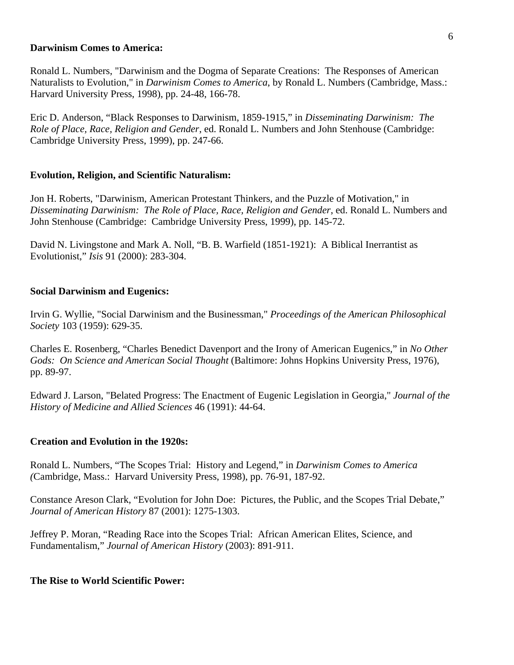#### **Darwinism Comes to America:**

Ronald L. Numbers, "Darwinism and the Dogma of Separate Creations: The Responses of American Naturalists to Evolution," in *Darwinism Comes to America*, by Ronald L. Numbers (Cambridge, Mass.: Harvard University Press, 1998), pp. 24-48, 166-78.

Eric D. Anderson, "Black Responses to Darwinism, 1859-1915," in *Disseminating Darwinism: The Role of Place, Race, Religion and Gender*, ed. Ronald L. Numbers and John Stenhouse (Cambridge: Cambridge University Press, 1999), pp. 247-66.

#### **Evolution, Religion, and Scientific Naturalism:**

Jon H. Roberts, "Darwinism, American Protestant Thinkers, and the Puzzle of Motivation," in *Disseminating Darwinism: The Role of Place, Race, Religion and Gender*, ed. Ronald L. Numbers and John Stenhouse (Cambridge: Cambridge University Press, 1999), pp. 145-72.

David N. Livingstone and Mark A. Noll, "B. B. Warfield (1851-1921): A Biblical Inerrantist as Evolutionist," *Isis* 91 (2000): 283-304.

#### **Social Darwinism and Eugenics:**

Irvin G. Wyllie, "Social Darwinism and the Businessman," *Proceedings of the American Philosophical Society* 103 (1959): 629-35.

Charles E. Rosenberg, "Charles Benedict Davenport and the Irony of American Eugenics," in *No Other Gods: On Science and American Social Thought* (Baltimore: Johns Hopkins University Press, 1976), pp. 89-97.

Edward J. Larson, "Belated Progress: The Enactment of Eugenic Legislation in Georgia," *Journal of the History of Medicine and Allied Sciences* 46 (1991): 44-64.

#### **Creation and Evolution in the 1920s:**

Ronald L. Numbers, "The Scopes Trial: History and Legend," in *Darwinism Comes to America (*Cambridge, Mass.: Harvard University Press, 1998), pp. 76-91, 187-92.

Constance Areson Clark, "Evolution for John Doe: Pictures, the Public, and the Scopes Trial Debate," *Journal of American History* 87 (2001): 1275-1303.

Jeffrey P. Moran, "Reading Race into the Scopes Trial: African American Elites, Science, and Fundamentalism," *Journal of American History* (2003): 891-911.

#### **The Rise to World Scientific Power:**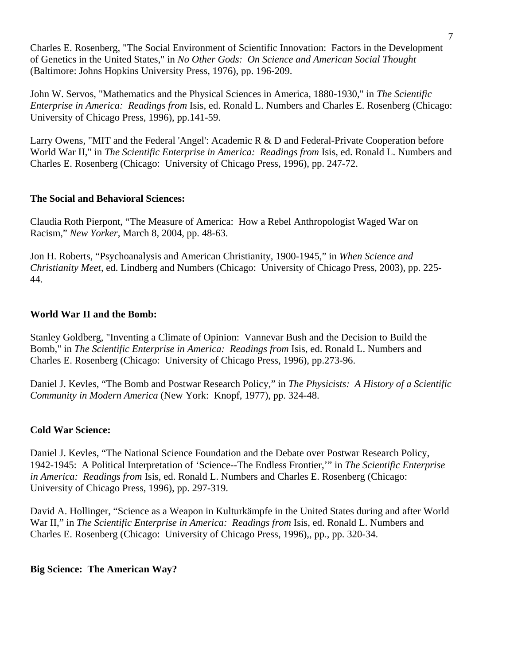Charles E. Rosenberg, "The Social Environment of Scientific Innovation: Factors in the Development of Genetics in the United States," in *No Other Gods: On Science and American Social Thought* (Baltimore: Johns Hopkins University Press, 1976), pp. 196-209.

John W. Servos, "Mathematics and the Physical Sciences in America, 1880-1930," in *The Scientific Enterprise in America: Readings from* Isis, ed. Ronald L. Numbers and Charles E. Rosenberg (Chicago: University of Chicago Press, 1996), pp.141-59.

Larry Owens, "MIT and the Federal 'Angel': Academic R & D and Federal-Private Cooperation before World War II," in *The Scientific Enterprise in America: Readings from* Isis, ed. Ronald L. Numbers and Charles E. Rosenberg (Chicago: University of Chicago Press, 1996), pp. 247-72.

# **The Social and Behavioral Sciences:**

Claudia Roth Pierpont, "The Measure of America: How a Rebel Anthropologist Waged War on Racism," *New Yorker*, March 8, 2004, pp. 48-63.

Jon H. Roberts, "Psychoanalysis and American Christianity, 1900-1945," in *When Science and Christianity Meet*, ed. Lindberg and Numbers (Chicago: University of Chicago Press, 2003), pp. 225- 44.

# **World War II and the Bomb:**

Stanley Goldberg, "Inventing a Climate of Opinion: Vannevar Bush and the Decision to Build the Bomb," in *The Scientific Enterprise in America: Readings from* Isis, ed. Ronald L. Numbers and Charles E. Rosenberg (Chicago: University of Chicago Press, 1996), pp.273-96.

Daniel J. Kevles, "The Bomb and Postwar Research Policy," in *The Physicists: A History of a Scientific Community in Modern America* (New York: Knopf, 1977), pp. 324-48.

# **Cold War Science:**

Daniel J. Kevles, "The National Science Foundation and the Debate over Postwar Research Policy, 1942-1945: A Political Interpretation of 'Science--The Endless Frontier,'" in *The Scientific Enterprise in America: Readings from* Isis, ed. Ronald L. Numbers and Charles E. Rosenberg (Chicago: University of Chicago Press, 1996), pp. 297-319.

David A. Hollinger, "Science as a Weapon in Kulturkämpfe in the United States during and after World War II," in *The Scientific Enterprise in America: Readings from* Isis, ed. Ronald L. Numbers and Charles E. Rosenberg (Chicago: University of Chicago Press, 1996),, pp., pp. 320-34.

# **Big Science: The American Way?**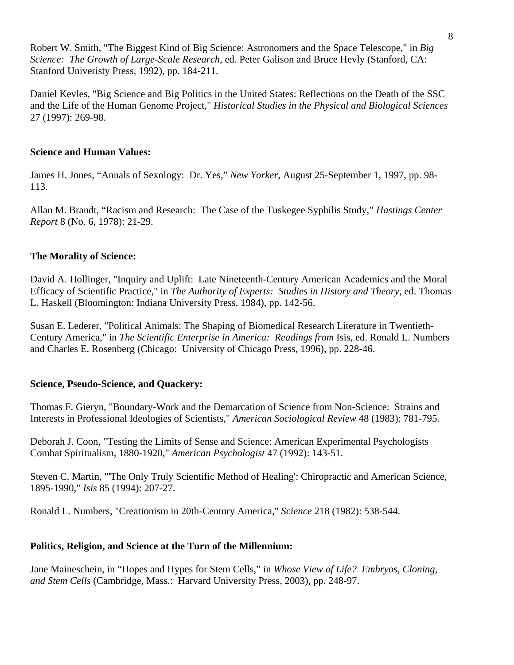Robert W. Smith, "The Biggest Kind of Big Science: Astronomers and the Space Telescope," in *Big Science: The Growth of Large-Scale Research*, ed. Peter Galison and Bruce Hevly (Stanford, CA: Stanford Univeristy Press, 1992), pp. 184-211.

Daniel Kevles, "Big Science and Big Politics in the United States: Reflections on the Death of the SSC and the Life of the Human Genome Project," *Historical Studies in the Physical and Biological Sciences* 27 (1997): 269-98.

# **Science and Human Values:**

James H. Jones, "Annals of Sexology: Dr. Yes," *New Yorker*, August 25-September 1, 1997, pp. 98- 113.

Allan M. Brandt, "Racism and Research: The Case of the Tuskegee Syphilis Study," *Hastings Center Report* 8 (No. 6, 1978): 21-29.

# **The Morality of Science:**

David A. Hollinger, "Inquiry and Uplift: Late Nineteenth-Century American Academics and the Moral Efficacy of Scientific Practice," in *The Authority of Experts: Studies in History and Theory*, ed. Thomas L. Haskell (Bloomington: Indiana University Press, 1984), pp. 142-56.

Susan E. Lederer, "Political Animals: The Shaping of Biomedical Research Literature in Twentieth-Century America," in *The Scientific Enterprise in America: Readings from* Isis, ed. Ronald L. Numbers and Charles E. Rosenberg (Chicago: University of Chicago Press, 1996), pp. 228-46.

# **Science, Pseudo-Science, and Quackery:**

Thomas F. Gieryn, "Boundary-Work and the Demarcation of Science from Non-Science: Strains and Interests in Professional Ideologies of Scientists," *American Sociological Review* 48 (1983): 781-795.

Deborah J. Coon, "Testing the Limits of Sense and Science: American Experimental Psychologists Combat Spiritualism, 1880-1920," *American Psychologist* 47 (1992): 143-51.

Steven C. Martin, "'The Only Truly Scientific Method of Healing': Chiropractic and American Science, 1895-1990," *Isis* 85 (1994): 207-27.

Ronald L. Numbers, "Creationism in 20th-Century America," *Science* 218 (1982): 538-544.

# **Politics, Religion, and Science at the Turn of the Millennium:**

Jane Maineschein, in "Hopes and Hypes for Stem Cells," in *Whose View of Life? Embryos, Cloning, and Stem Cells* (Cambridge, Mass.: Harvard University Press, 2003), pp. 248-97.